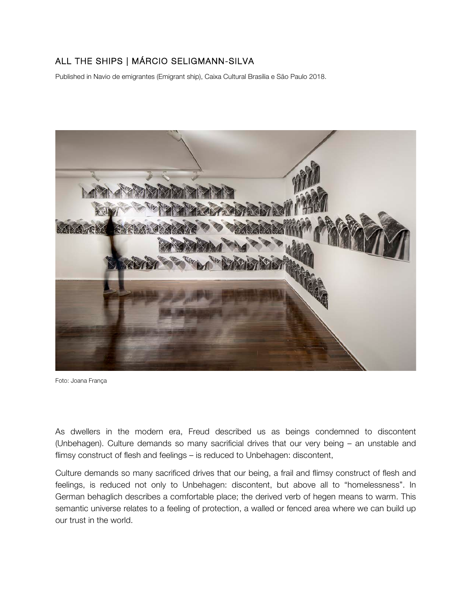## ALL THE SHIPS | MÁRCIO SELIGMANN-SILVA

Published in Navio de emigrantes (Emigrant ship), Caixa Cultural Brasília e São Paulo 2018.



Foto: Joana França

As dwellers in the modern era, Freud described us as beings condemned to discontent (Unbehagen). Culture demands so many sacrificial drives that our very being – an unstable and flimsy construct of flesh and feelings – is reduced to Unbehagen: discontent,

Culture demands so many sacrificed drives that our being, a frail and flimsy construct of flesh and feelings, is reduced not only to Unbehagen: discontent, but above all to "homelessness". In German behaglich describes a comfortable place; the derived verb of hegen means to warm. This semantic universe relates to a feeling of protection, a walled or fenced area where we can build up our trust in the world.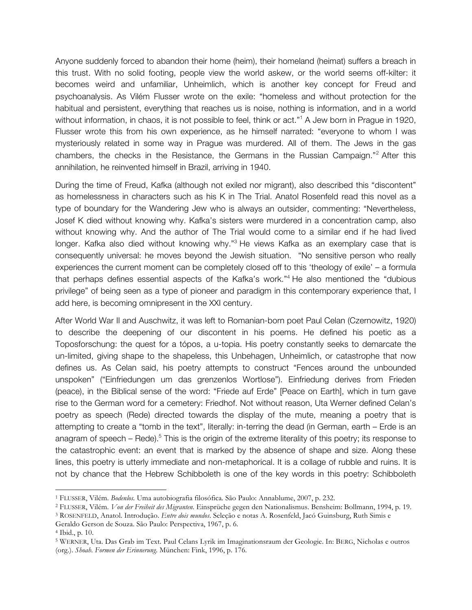Anyone suddenly forced to abandon their home (heim), their homeland (heimat) suffers a breach in this trust. With no solid footing, people view the world askew, or the world seems off-kilter: it becomes weird and unfamiliar, Unheimlich, which is another key concept for Freud and psychoanalysis. As Vilém Flusser wrote on the exile: "homeless and without protection for the habitual and persistent, everything that reaches us is noise, nothing is information, and in a world without information, in chaos, it is not possible to feel, think or act."<sup>1</sup> A Jew born in Prague in 1920, Flusser wrote this from his own experience, as he himself narrated: "everyone to whom I was mysteriously related in some way in Prague was murdered. All of them. The Jews in the gas chambers, the checks in the Resistance, the Germans in the Russian Campaign."2 After this annihilation, he reinvented himself in Brazil, arriving in 1940.

During the time of Freud, Kafka (although not exiled nor migrant), also described this "discontent" as homelessness in characters such as his K in The Trial. Anatol Rosenfeld read this novel as a type of boundary for the Wandering Jew who is always an outsider, commenting: "Nevertheless, Josef K died without knowing why. Kafka's sisters were murdered in a concentration camp, also without knowing why. And the author of The Trial would come to a similar end if he had lived longer. Kafka also died without knowing why."<sup>3</sup> He views Kafka as an exemplary case that is consequently universal: he moves beyond the Jewish situation. "No sensitive person who really experiences the current moment can be completely closed off to this 'theology of exile' – a formula that perhaps defines essential aspects of the Kafka's work."<sup>4</sup> He also mentioned the "dubious privilege" of being seen as a type of pioneer and paradigm in this contemporary experience that, I add here, is becoming omnipresent in the XXI century.

After World War II and Auschwitz, it was left to Romanian-born poet Paul Celan (Czernowitz, 1920) to describe the deepening of our discontent in his poems. He defined his poetic as a Toposforschung: the quest for a tópos, a u-topia. His poetry constantly seeks to demarcate the un-limited, giving shape to the shapeless, this Unbehagen, Unheimlich, or catastrophe that now defines us. As Celan said, his poetry attempts to construct "Fences around the unbounded unspoken" ("Einfriedungen um das grenzenlos Wortlose"). Einfriedung derives from Frieden (peace), in the Biblical sense of the word: "Friede auf Erde" [Peace on Earth], which in turn gave rise to the German word for a cemetery: Friedhof. Not without reason, Uta Werner defined Celan's poetry as speech (Rede) directed towards the display of the mute, meaning a poetry that is attempting to create a "tomb in the text", literally: in-terring the dead (in German, earth – Erde is an anagram of speech – Rede).<sup>5</sup> This is the origin of the extreme literality of this poetry; its response to the catastrophic event: an event that is marked by the absence of shape and size. Along these lines, this poetry is utterly immediate and non-metaphorical. It is a collage of rubble and ruins. It is not by chance that the Hebrew Schibboleth is one of the key words in this poetry: Schibboleth

<u> 1989 - Jan Samuel Barbara, margaret e</u>

<sup>1</sup> FLUSSER, Vilém. *Bodenlos.* Uma autobiografia filosófica*.* São Paulo: Annablume, 2007, p. 232.

<sup>2</sup> FLUSSER, Vilém. *Von der Freiheit des Migranten.* Einsprüche gegen den Nationalismus. Bensheim: Bollmann, 1994, p. 19.

<sup>3</sup> ROSENFELD, Anatol. Introdução. *Entre dois mundos*. Seleção e notas A. Rosenfeld, Jacó Guinsburg, Ruth Simis e

Geraldo Gerson de Souza. São Paulo: Perspectiva, 1967, p. 6. 4 Ibid., p. 10.

<sup>5</sup> WERNER, Uta. Das Grab im Text. Paul Celans Lyrik im Imaginationsraum der Geologie. In: BERG, Nicholas e outros (org.). *Shoah. Formen der Erinnerung*. München: Fink, 1996, p. 176.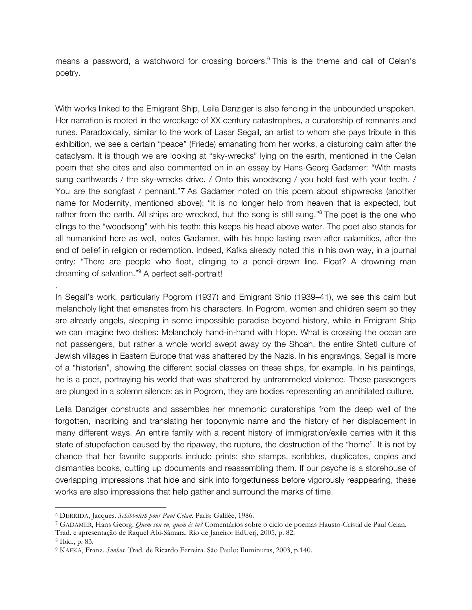means a password, a watchword for crossing borders. <sup>6</sup> This is the theme and call of Celan's poetry.

With works linked to the Emigrant Ship, Leila Danziger is also fencing in the unbounded unspoken. Her narration is rooted in the wreckage of XX century catastrophes, a curatorship of remnants and runes. Paradoxically, similar to the work of Lasar Segall, an artist to whom she pays tribute in this exhibition, we see a certain "peace" (Friede) emanating from her works, a disturbing calm after the cataclysm. It is though we are looking at "sky-wrecks" lying on the earth, mentioned in the Celan poem that she cites and also commented on in an essay by Hans-Georg Gadamer: "With masts sung earthwards / the sky-wrecks drive. / Onto this woodsong / you hold fast with your teeth. / You are the songfast / pennant."7 As Gadamer noted on this poem about shipwrecks (another name for Modernity, mentioned above): "It is no longer help from heaven that is expected, but rather from the earth. All ships are wrecked, but the song is still sung."<sup>8</sup> The poet is the one who clings to the "woodsong" with his teeth: this keeps his head above water. The poet also stands for all humankind here as well, notes Gadamer, with his hope lasting even after calamities, after the end of belief in religion or redemption. Indeed, Kafka already noted this in his own way, in a journal entry: "There are people who float, clinging to a pencil-drawn line. Float? A drowning man dreaming of salvation."9 A perfect self-portrait!

In Segall's work, particularly Pogrom (1937) and Emigrant Ship (1939–41), we see this calm but melancholy light that emanates from his characters. In Pogrom, women and children seem so they are already angels, sleeping in some impossible paradise beyond history, while in Emigrant Ship we can imagine two deities: Melancholy hand-in-hand with Hope. What is crossing the ocean are not passengers, but rather a whole world swept away by the Shoah, the entire Shtetl culture of Jewish villages in Eastern Europe that was shattered by the Nazis. In his engravings, Segall is more of a "historian", showing the different social classes on these ships, for example. In his paintings, he is a poet, portraying his world that was shattered by untrammeled violence. These passengers are plunged in a solemn silence: as in Pogrom, they are bodies representing an annihilated culture.

Leila Danziger constructs and assembles her mnemonic curatorships from the deep well of the forgotten, inscribing and translating her toponymic name and the history of her displacement in many different ways. An entire family with a recent history of immigration/exile carries with it this state of stupefaction caused by the ripaway, the rupture, the destruction of the "home". It is not by chance that her favorite supports include prints: she stamps, scribbles, duplicates, copies and dismantles books, cutting up documents and reassembling them. If our psyche is a storehouse of overlapping impressions that hide and sink into forgetfulness before vigorously reappearing, these works are also impressions that help gather and surround the marks of time.

 

.

<sup>6</sup> DERRIDA, Jacques. *Schibboleth pour Paul Celan.* Paris: Galilée, 1986.

<sup>7</sup> GADAMER, Hans Georg. *Quem sou eu, quem és tu?* Comentários sobre o ciclo de poemas Hausto-Cristal de Paul Celan.

Trad. e apresentação de Raquel Abi-Sâmara. Rio de Janeiro: EdUerj, 2005, p. 82.

<sup>8</sup> Ibid., p. 83.

<sup>9</sup> KAFKA, Franz. *Sonhos*. Trad. de Ricardo Ferreira. São Paulo: Iluminuras, 2003, p.140.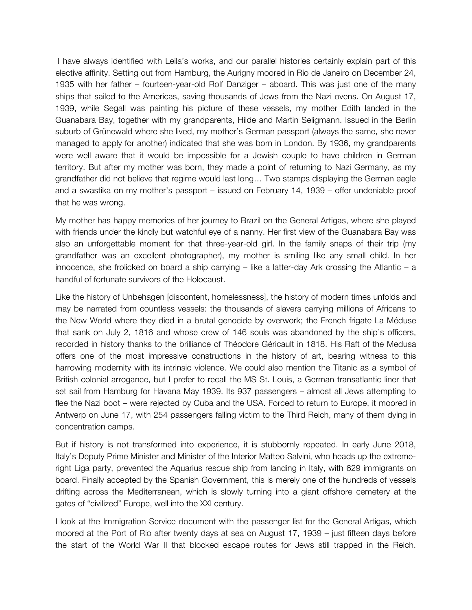I have always identified with Leila's works, and our parallel histories certainly explain part of this elective affinity. Setting out from Hamburg, the Aurigny moored in Rio de Janeiro on December 24, 1935 with her father – fourteen-year-old Rolf Danziger – aboard. This was just one of the many ships that sailed to the Americas, saving thousands of Jews from the Nazi ovens. On August 17, 1939, while Segall was painting his picture of these vessels, my mother Edith landed in the Guanabara Bay, together with my grandparents, Hilde and Martin Seligmann. Issued in the Berlin suburb of Grünewald where she lived, my mother's German passport (always the same, she never managed to apply for another) indicated that she was born in London. By 1936, my grandparents were well aware that it would be impossible for a Jewish couple to have children in German territory. But after my mother was born, they made a point of returning to Nazi Germany, as my grandfather did not believe that regime would last long… Two stamps displaying the German eagle and a swastika on my mother's passport – issued on February 14, 1939 – offer undeniable proof that he was wrong.

My mother has happy memories of her journey to Brazil on the General Artigas, where she played with friends under the kindly but watchful eye of a nanny. Her first view of the Guanabara Bay was also an unforgettable moment for that three-year-old girl. In the family snaps of their trip (my grandfather was an excellent photographer), my mother is smiling like any small child. In her innocence, she frolicked on board a ship carrying  $-$  like a latter-day Ark crossing the Atlantic  $-$  a handful of fortunate survivors of the Holocaust.

Like the history of Unbehagen [discontent, homelessness], the history of modern times unfolds and may be narrated from countless vessels: the thousands of slavers carrying millions of Africans to the New World where they died in a brutal genocide by overwork; the French frigate La Méduse that sank on July 2, 1816 and whose crew of 146 souls was abandoned by the ship's officers, recorded in history thanks to the brilliance of Théodore Géricault in 1818. His Raft of the Medusa offers one of the most impressive constructions in the history of art, bearing witness to this harrowing modernity with its intrinsic violence. We could also mention the Titanic as a symbol of British colonial arrogance, but I prefer to recall the MS St. Louis, a German transatlantic liner that set sail from Hamburg for Havana May 1939. Its 937 passengers – almost all Jews attempting to flee the Nazi boot – were rejected by Cuba and the USA. Forced to return to Europe, it moored in Antwerp on June 17, with 254 passengers falling victim to the Third Reich, many of them dying in concentration camps.

But if history is not transformed into experience, it is stubbornly repeated. In early June 2018, Italy's Deputy Prime Minister and Minister of the Interior Matteo Salvini, who heads up the extremeright Liga party, prevented the Aquarius rescue ship from landing in Italy, with 629 immigrants on board. Finally accepted by the Spanish Government, this is merely one of the hundreds of vessels drifting across the Mediterranean, which is slowly turning into a giant offshore cemetery at the gates of "civilized" Europe, well into the XXI century.

I look at the Immigration Service document with the passenger list for the General Artigas, which moored at the Port of Rio after twenty days at sea on August 17, 1939 – just fifteen days before the start of the World War II that blocked escape routes for Jews still trapped in the Reich.